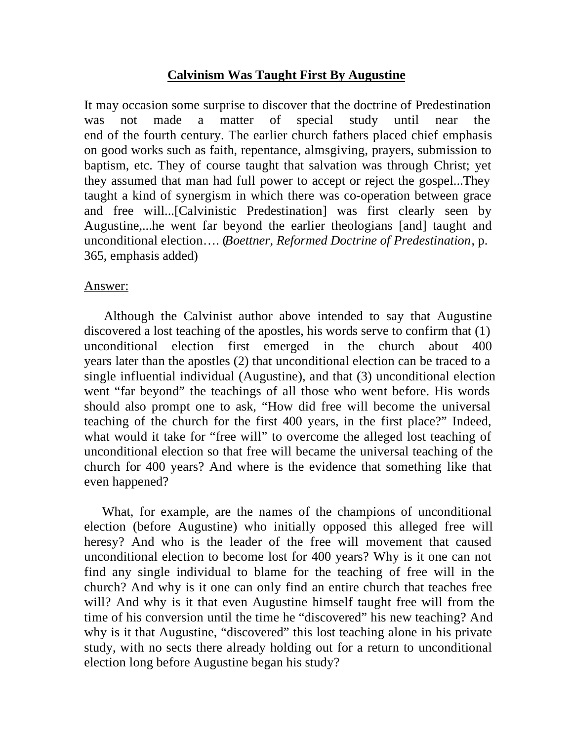## **Calvinism Was Taught First By Augustine**

It may occasion some surprise to discover that the doctrine of Predestination was not made a matter of special study until near the end of the fourth century. The earlier church fathers placed chief emphasis on good works such as faith, repentance, almsgiving, prayers, submission to baptism, etc. They of course taught that salvation was through Christ; yet they assumed that man had full power to accept or reject the gospel...They taught a kind of synergism in which there was co-operation between grace and free will...[Calvinistic Predestination] was first clearly seen by Augustine,...he went far beyond the earlier theologians [and] taught and unconditional election…. (*Boettner, Reformed Doctrine of Predestination*, p. 365, emphasis added)

## Answer:

Although the Calvinist author above intended to say that Augustine discovered a lost teaching of the apostles, his words serve to confirm that (1) unconditional election first emerged in the church about 400 years later than the apostles (2) that unconditional election can be traced to a single influential individual (Augustine), and that (3) unconditional election went "far beyond" the teachings of all those who went before. His words should also prompt one to ask, "How did free will become the universal teaching of the church for the first 400 years, in the first place?" Indeed, what would it take for "free will" to overcome the alleged lost teaching of unconditional election so that free will became the universal teaching of the church for 400 years? And where is the evidence that something like that even happened?

What, for example, are the names of the champions of unconditional election (before Augustine) who initially opposed this alleged free will heresy? And who is the leader of the free will movement that caused unconditional election to become lost for 400 years? Why is it one can not find any single individual to blame for the teaching of free will in the church? And why is it one can only find an entire church that teaches free will? And why is it that even Augustine himself taught free will from the time of his conversion until the time he "discovered" his new teaching? And why is it that Augustine, "discovered" this lost teaching alone in his private study, with no sects there already holding out for a return to unconditional election long before Augustine began his study?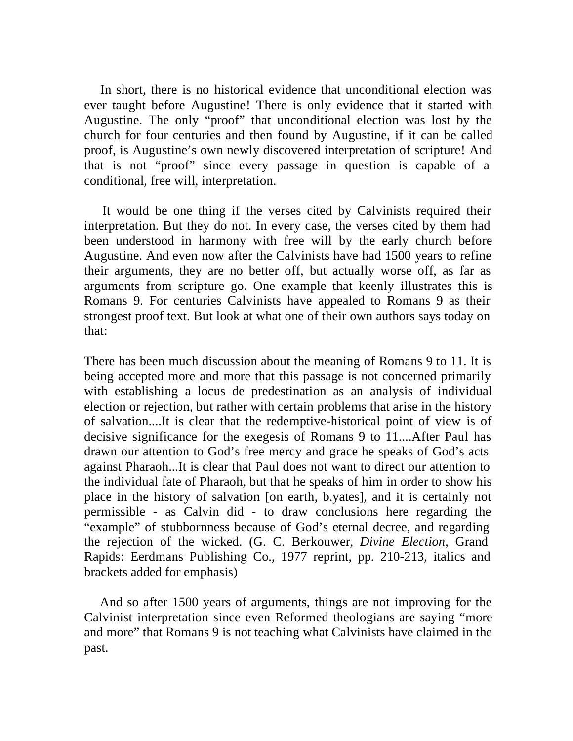In short, there is no historical evidence that unconditional election was ever taught before Augustine! There is only evidence that it started with Augustine. The only "proof" that unconditional election was lost by the church for four centuries and then found by Augustine, if it can be called proof, is Augustine's own newly discovered interpretation of scripture! And that is not "proof" since every passage in question is capable of a conditional, free will, interpretation.

It would be one thing if the verses cited by Calvinists required their interpretation. But they do not. In every case, the verses cited by them had been understood in harmony with free will by the early church before Augustine. And even now after the Calvinists have had 1500 years to refine their arguments, they are no better off, but actually worse off, as far as arguments from scripture go. One example that keenly illustrates this is Romans 9. For centuries Calvinists have appealed to Romans 9 as their strongest proof text. But look at what one of their own authors says today on that:

There has been much discussion about the meaning of Romans 9 to 11. It is being accepted more and more that this passage is not concerned primarily with establishing a locus de predestination as an analysis of individual election or rejection, but rather with certain problems that arise in the history of salvation....It is clear that the redemptive-historical point of view is of decisive significance for the exegesis of Romans 9 to 11....After Paul has drawn our attention to God's free mercy and grace he speaks of God's acts against Pharaoh...It is clear that Paul does not want to direct our attention to the individual fate of Pharaoh, but that he speaks of him in order to show his place in the history of salvation [on earth, b.yates], and it is certainly not permissible - as Calvin did - to draw conclusions here regarding the "example" of stubbornness because of God's eternal decree, and regarding the rejection of the wicked. (G. C. Berkouwer, *Divine Election*, Grand Rapids: Eerdmans Publishing Co., 1977 reprint, pp. 210-213, italics and brackets added for emphasis)

And so after 1500 years of arguments, things are not improving for the Calvinist interpretation since even Reformed theologians are saying "more and more" that Romans 9 is not teaching what Calvinists have claimed in the past.